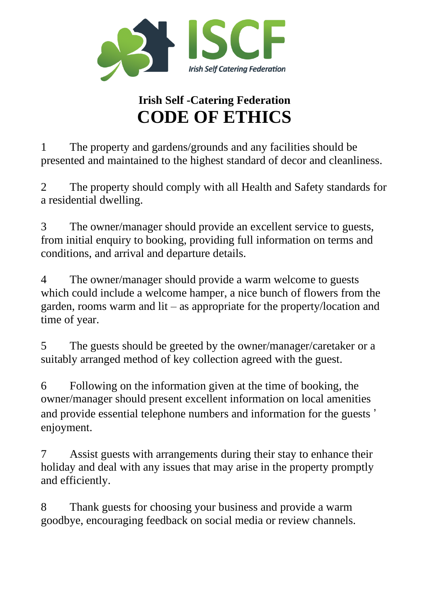

## **Irish Self -Catering Federation CODE OF ETHICS**

1 The property and gardens/grounds and any facilities should be presented and maintained to the highest standard of decor and cleanliness.

2 The property should comply with all Health and Safety standards for a residential dwelling.

3 The owner/manager should provide an excellent service to guests, from initial enquiry to booking, providing full information on terms and conditions, and arrival and departure details.

4 The owner/manager should provide a warm welcome to guests which could include a welcome hamper, a nice bunch of flowers from the garden, rooms warm and lit – as appropriate for the property/location and time of year.

5 The guests should be greeted by the owner/manager/caretaker or a suitably arranged method of key collection agreed with the guest.

6 Following on the information given at the time of booking, the owner/manager should present excellent information on local amenities and provide essential telephone numbers and information for the guests ' enjoyment.

7 Assist guests with arrangements during their stay to enhance their holiday and deal with any issues that may arise in the property promptly and efficiently.

8 Thank guests for choosing your business and provide a warm goodbye, encouraging feedback on social media or review channels.